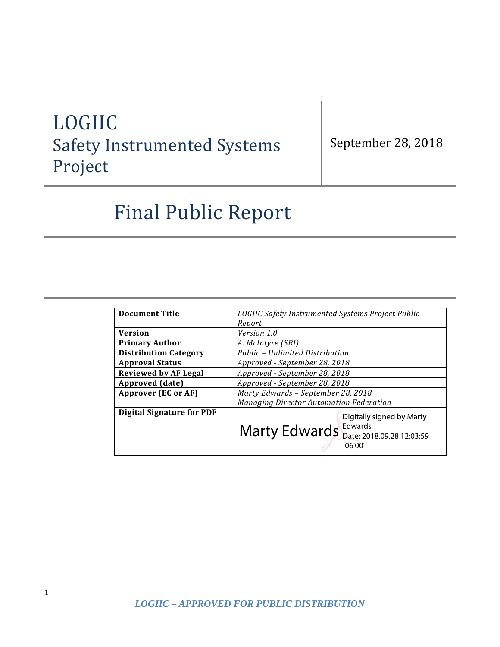# LOGIIC Safety Instrumented Systems Project

September 28, 2018

# Final Public Report

| <b>Document Title</b>            | LOGIIC Safety Instrumented Systems Project Public                                                           |
|----------------------------------|-------------------------------------------------------------------------------------------------------------|
|                                  | Report                                                                                                      |
| <b>Version</b>                   | Version 1.0                                                                                                 |
| <b>Primary Author</b>            | A. McIntyre (SRI)                                                                                           |
| <b>Distribution Category</b>     | Public - Unlimited Distribution                                                                             |
| <b>Approval Status</b>           | Approved - September 28, 2018                                                                               |
| <b>Reviewed by AF Legal</b>      | Approved - September 28, 2018                                                                               |
| Approved (date)                  | Approved - September 28, 2018                                                                               |
| <b>Approver (EC or AF)</b>       | Marty Edwards - September 28, 2018                                                                          |
|                                  | Managing Director Automation Federation                                                                     |
| <b>Digital Signature for PDF</b> | Digitally signed by Marty<br>Edwards<br>Marty Edwards <b>Eduards</b> Date: 2018.09.28 12:03:59<br>$-06'00'$ |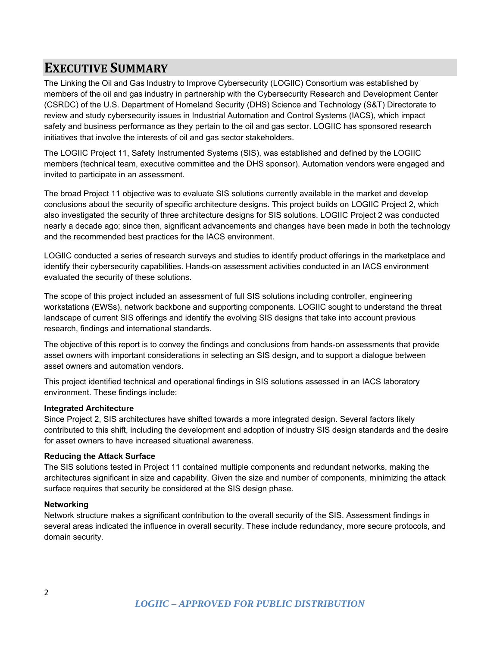### **EXECUTIVE SUMMARY**

The Linking the Oil and Gas Industry to Improve Cybersecurity (LOGIIC) Consortium was established by members of the oil and gas industry in partnership with the Cybersecurity Research and Development Center (CSRDC) of the U.S. Department of Homeland Security (DHS) Science and Technology (S&T) Directorate to review and study cybersecurity issues in Industrial Automation and Control Systems (IACS), which impact safety and business performance as they pertain to the oil and gas sector. LOGIIC has sponsored research initiatives that involve the interests of oil and gas sector stakeholders.

The LOGIIC Project 11, Safety Instrumented Systems (SIS), was established and defined by the LOGIIC members (technical team, executive committee and the DHS sponsor). Automation vendors were engaged and invited to participate in an assessment.

The broad Project 11 objective was to evaluate SIS solutions currently available in the market and develop conclusions about the security of specific architecture designs. This project builds on LOGIIC Project 2, which also investigated the security of three architecture designs for SIS solutions. LOGIIC Project 2 was conducted nearly a decade ago; since then, significant advancements and changes have been made in both the technology and the recommended best practices for the IACS environment.

LOGIIC conducted a series of research surveys and studies to identify product offerings in the marketplace and identify their cybersecurity capabilities. Hands-on assessment activities conducted in an IACS environment evaluated the security of these solutions.

The scope of this project included an assessment of full SIS solutions including controller, engineering workstations (EWSs), network backbone and supporting components. LOGIIC sought to understand the threat landscape of current SIS offerings and identify the evolving SIS designs that take into account previous research, findings and international standards.

The objective of this report is to convey the findings and conclusions from hands-on assessments that provide asset owners with important considerations in selecting an SIS design, and to support a dialogue between asset owners and automation vendors.

This project identified technical and operational findings in SIS solutions assessed in an IACS laboratory environment. These findings include:

#### **Integrated Architecture**

Since Project 2, SIS architectures have shifted towards a more integrated design. Several factors likely contributed to this shift, including the development and adoption of industry SIS design standards and the desire for asset owners to have increased situational awareness.

#### **Reducing the Attack Surface**

The SIS solutions tested in Project 11 contained multiple components and redundant networks, making the architectures significant in size and capability. Given the size and number of components, minimizing the attack surface requires that security be considered at the SIS design phase.

#### **Networking**

Network structure makes a significant contribution to the overall security of the SIS. Assessment findings in several areas indicated the influence in overall security. These include redundancy, more secure protocols, and domain security.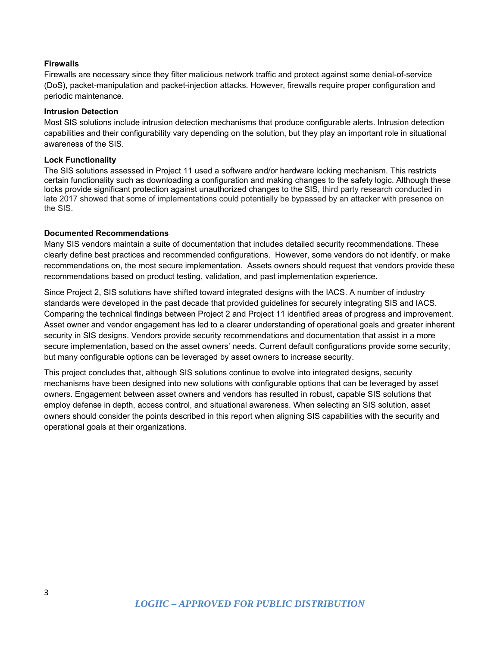#### **Firewalls**

Firewalls are necessary since they filter malicious network traffic and protect against some denial-of-service (DoS), packet-manipulation and packet-injection attacks. However, firewalls require proper configuration and periodic maintenance.

#### **Intrusion Detection**

Most SIS solutions include intrusion detection mechanisms that produce configurable alerts. Intrusion detection capabilities and their configurability vary depending on the solution, but they play an important role in situational awareness of the SIS.

#### **Lock Functionality**

The SIS solutions assessed in Project 11 used a software and/or hardware locking mechanism. This restricts certain functionality such as downloading a configuration and making changes to the safety logic. Although these locks provide significant protection against unauthorized changes to the SIS, third party research conducted in late 2017 showed that some of implementations could potentially be bypassed by an attacker with presence on the SIS.

#### **Documented Recommendations**

Many SIS vendors maintain a suite of documentation that includes detailed security recommendations. These clearly define best practices and recommended configurations. However, some vendors do not identify, or make recommendations on, the most secure implementation. Assets owners should request that vendors provide these recommendations based on product testing, validation, and past implementation experience.

Since Project 2, SIS solutions have shifted toward integrated designs with the IACS. A number of industry standards were developed in the past decade that provided guidelines for securely integrating SIS and IACS. Comparing the technical findings between Project 2 and Project 11 identified areas of progress and improvement. Asset owner and vendor engagement has led to a clearer understanding of operational goals and greater inherent security in SIS designs. Vendors provide security recommendations and documentation that assist in a more secure implementation, based on the asset owners' needs. Current default configurations provide some security, but many configurable options can be leveraged by asset owners to increase security.

This project concludes that, although SIS solutions continue to evolve into integrated designs, security mechanisms have been designed into new solutions with configurable options that can be leveraged by asset owners. Engagement between asset owners and vendors has resulted in robust, capable SIS solutions that employ defense in depth, access control, and situational awareness. When selecting an SIS solution, asset owners should consider the points described in this report when aligning SIS capabilities with the security and operational goals at their organizations.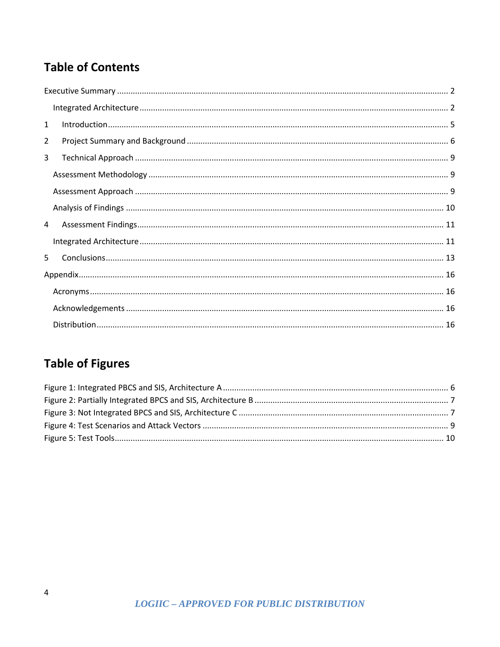# **Table of Contents**

| 1              |  |
|----------------|--|
| $\overline{2}$ |  |
| 3              |  |
|                |  |
|                |  |
|                |  |
| $\overline{4}$ |  |
|                |  |
| 5.             |  |
|                |  |
|                |  |
|                |  |
|                |  |

# **Table of Figures**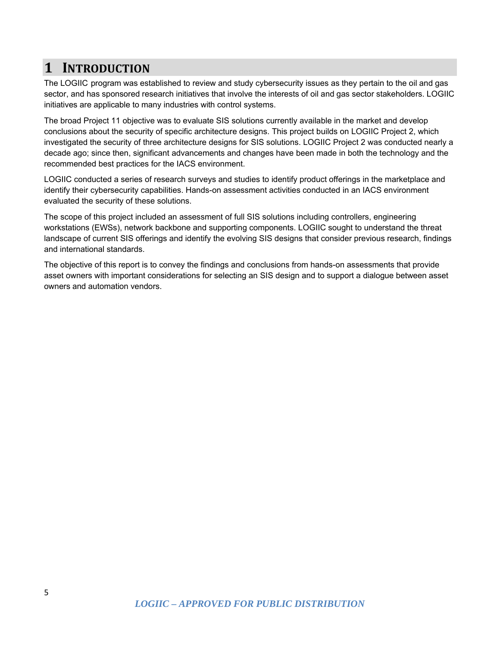### **1 INTRODUCTION**

The LOGIIC program was established to review and study cybersecurity issues as they pertain to the oil and gas sector, and has sponsored research initiatives that involve the interests of oil and gas sector stakeholders. LOGIIC initiatives are applicable to many industries with control systems.

The broad Project 11 objective was to evaluate SIS solutions currently available in the market and develop conclusions about the security of specific architecture designs. This project builds on LOGIIC Project 2, which investigated the security of three architecture designs for SIS solutions. LOGIIC Project 2 was conducted nearly a decade ago; since then, significant advancements and changes have been made in both the technology and the recommended best practices for the IACS environment.

LOGIIC conducted a series of research surveys and studies to identify product offerings in the marketplace and identify their cybersecurity capabilities. Hands-on assessment activities conducted in an IACS environment evaluated the security of these solutions.

The scope of this project included an assessment of full SIS solutions including controllers, engineering workstations (EWSs), network backbone and supporting components. LOGIIC sought to understand the threat landscape of current SIS offerings and identify the evolving SIS designs that consider previous research, findings and international standards.

The objective of this report is to convey the findings and conclusions from hands-on assessments that provide asset owners with important considerations for selecting an SIS design and to support a dialogue between asset owners and automation vendors.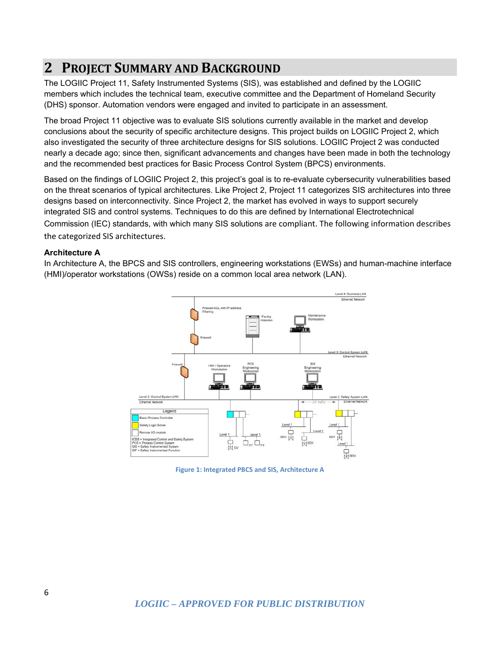### **2 PROJECT SUMMARY AND BACKGROUND**

The LOGIIC Project 11, Safety Instrumented Systems (SIS), was established and defined by the LOGIIC members which includes the technical team, executive committee and the Department of Homeland Security (DHS) sponsor. Automation vendors were engaged and invited to participate in an assessment.

The broad Project 11 objective was to evaluate SIS solutions currently available in the market and develop conclusions about the security of specific architecture designs. This project builds on LOGIIC Project 2, which also investigated the security of three architecture designs for SIS solutions. LOGIIC Project 2 was conducted nearly a decade ago; since then, significant advancements and changes have been made in both the technology and the recommended best practices for Basic Process Control System (BPCS) environments.

Based on the findings of LOGIIC Project 2, this project's goal is to re-evaluate cybersecurity vulnerabilities based on the threat scenarios of typical architectures. Like Project 2, Project 11 categorizes SIS architectures into three designs based on interconnectivity. Since Project 2, the market has evolved in ways to support securely integrated SIS and control systems. Techniques to do this are defined by International Electrotechnical Commission (IEC) standards, with which many SIS solutions are compliant. The following information describes the categorized SIS architectures.

#### **Architecture A**

In Architecture A, the BPCS and SIS controllers, engineering workstations (EWSs) and human-machine interface (HMI)/operator workstations (OWSs) reside on a common local area network (LAN).



**Figure 1: Integrated PBCS and SIS, Architecture A**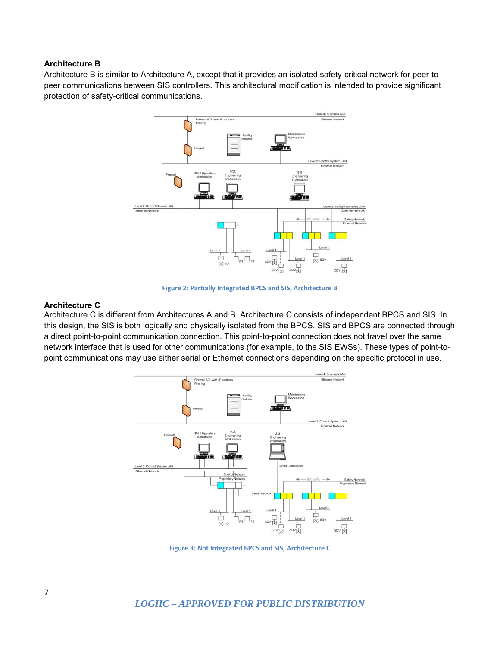#### **Architecture B**

Architecture B is similar to Architecture A, except that it provides an isolated safety-critical network for peer-topeer communications between SIS controllers. This architectural modification is intended to provide significant protection of safety-critical communications.



**Figure 2: Partially Integrated BPCS and SIS, Architecture B**

#### **Architecture C**

Architecture C is different from Architectures A and B. Architecture C consists of independent BPCS and SIS. In this design, the SIS is both logically and physically isolated from the BPCS. SIS and BPCS are connected through a direct point-to-point communication connection. This point-to-point connection does not travel over the same network interface that is used for other communications (for example, to the SIS EWSs). These types of point-topoint communications may use either serial or Ethernet connections depending on the specific protocol in use.



**Figure 3: Not Integrated BPCS and SIS, Architecture C**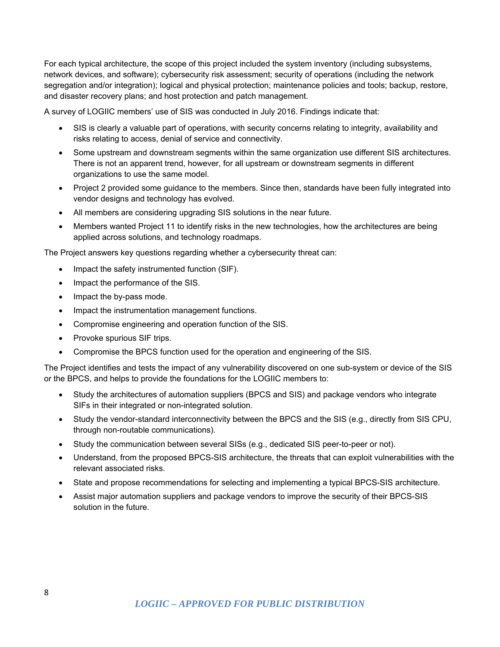For each typical architecture, the scope of this project included the system inventory (including subsystems, network devices, and software); cybersecurity risk assessment; security of operations (including the network segregation and/or integration); logical and physical protection; maintenance policies and tools; backup, restore, and disaster recovery plans; and host protection and patch management.

A survey of LOGIIC members' use of SIS was conducted in July 2016. Findings indicate that:

- SIS is clearly a valuable part of operations, with security concerns relating to integrity, availability and risks relating to access, denial of service and connectivity.
- Some upstream and downstream segments within the same organization use different SIS architectures. There is not an apparent trend, however, for all upstream or downstream segments in different organizations to use the same model.
- Project 2 provided some guidance to the members. Since then, standards have been fully integrated into vendor designs and technology has evolved.
- All members are considering upgrading SIS solutions in the near future.
- Members wanted Project 11 to identify risks in the new technologies, how the architectures are being applied across solutions, and technology roadmaps.

The Project answers key questions regarding whether a cybersecurity threat can:

- Impact the safety instrumented function (SIF).
- Impact the performance of the SIS.
- Impact the by-pass mode.
- Impact the instrumentation management functions.
- Compromise engineering and operation function of the SIS.
- Provoke spurious SIF trips.
- Compromise the BPCS function used for the operation and engineering of the SIS.

The Project identifies and tests the impact of any vulnerability discovered on one sub-system or device of the SIS or the BPCS, and helps to provide the foundations for the LOGIIC members to:

- Study the architectures of automation suppliers (BPCS and SIS) and package vendors who integrate SIFs in their integrated or non-integrated solution.
- Study the vendor-standard interconnectivity between the BPCS and the SIS (e.g., directly from SIS CPU, through non-routable communications).
- Study the communication between several SISs (e.g., dedicated SIS peer-to-peer or not).
- Understand, from the proposed BPCS-SIS architecture, the threats that can exploit vulnerabilities with the relevant associated risks.
- State and propose recommendations for selecting and implementing a typical BPCS-SIS architecture.
- Assist major automation suppliers and package vendors to improve the security of their BPCS-SIS solution in the future.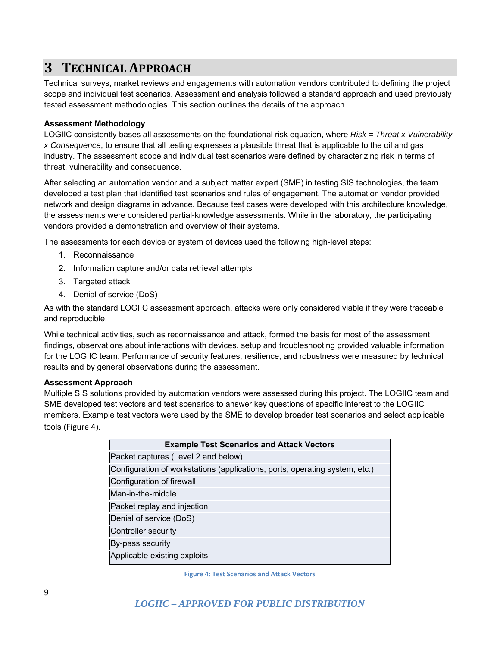## **3 TECHNICAL APPROACH**

Technical surveys, market reviews and engagements with automation vendors contributed to defining the project scope and individual test scenarios. Assessment and analysis followed a standard approach and used previously tested assessment methodologies. This section outlines the details of the approach.

#### **Assessment Methodology**

LOGIIC consistently bases all assessments on the foundational risk equation, where *Risk = Threat x Vulnerability x Consequence*, to ensure that all testing expresses a plausible threat that is applicable to the oil and gas industry. The assessment scope and individual test scenarios were defined by characterizing risk in terms of threat, vulnerability and consequence.

After selecting an automation vendor and a subject matter expert (SME) in testing SIS technologies, the team developed a test plan that identified test scenarios and rules of engagement. The automation vendor provided network and design diagrams in advance. Because test cases were developed with this architecture knowledge, the assessments were considered partial-knowledge assessments. While in the laboratory, the participating vendors provided a demonstration and overview of their systems.

The assessments for each device or system of devices used the following high-level steps:

- 1. Reconnaissance
- 2. Information capture and/or data retrieval attempts
- 3. Targeted attack
- 4. Denial of service (DoS)

As with the standard LOGIIC assessment approach, attacks were only considered viable if they were traceable and reproducible.

While technical activities, such as reconnaissance and attack, formed the basis for most of the assessment findings, observations about interactions with devices, setup and troubleshooting provided valuable information for the LOGIIC team. Performance of security features, resilience, and robustness were measured by technical results and by general observations during the assessment.

#### **Assessment Approach**

Multiple SIS solutions provided by automation vendors were assessed during this project. The LOGIIC team and SME developed test vectors and test scenarios to answer key questions of specific interest to the LOGIIC members. Example test vectors were used by the SME to develop broader test scenarios and select applicable tools (Figure 4).

| <b>Example Test Scenarios and Attack Vectors</b>                            |  |
|-----------------------------------------------------------------------------|--|
| Packet captures (Level 2 and below)                                         |  |
| Configuration of workstations (applications, ports, operating system, etc.) |  |
| Configuration of firewall                                                   |  |
| Man-in-the-middle                                                           |  |
| Packet replay and injection                                                 |  |
| Denial of service (DoS)                                                     |  |
| Controller security                                                         |  |
| By-pass security                                                            |  |
| Applicable existing exploits                                                |  |

**Figure 4: Test Scenarios and Attack Vectors**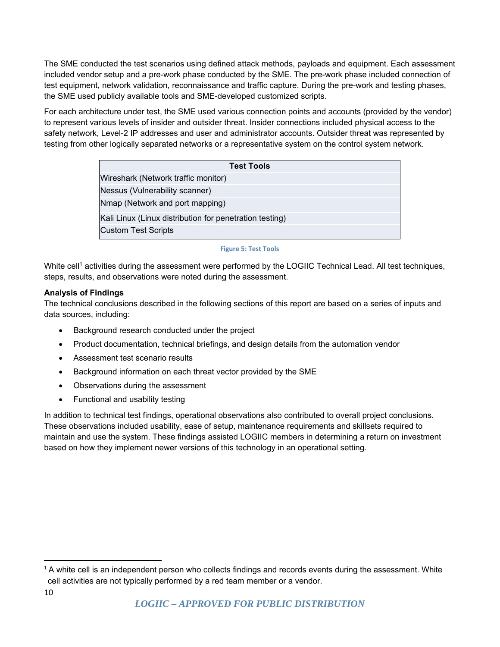The SME conducted the test scenarios using defined attack methods, payloads and equipment. Each assessment included vendor setup and a pre-work phase conducted by the SME. The pre-work phase included connection of test equipment, network validation, reconnaissance and traffic capture. During the pre-work and testing phases, the SME used publicly available tools and SME-developed customized scripts.

For each architecture under test, the SME used various connection points and accounts (provided by the vendor) to represent various levels of insider and outsider threat. Insider connections included physical access to the safety network, Level-2 IP addresses and user and administrator accounts. Outsider threat was represented by testing from other logically separated networks or a representative system on the control system network.

| <b>Test Tools</b>                                       |  |
|---------------------------------------------------------|--|
| Wireshark (Network traffic monitor)                     |  |
| Nessus (Vulnerability scanner)                          |  |
| Nmap (Network and port mapping)                         |  |
| Kali Linux (Linux distribution for penetration testing) |  |
| <b>Custom Test Scripts</b>                              |  |

#### **Figure 5: Test Tools**

White cell<sup>1</sup> activities during the assessment were performed by the LOGIIC Technical Lead. All test techniques, steps, results, and observations were noted during the assessment.

#### **Analysis of Findings**

The technical conclusions described in the following sections of this report are based on a series of inputs and data sources, including:

- Background research conducted under the project
- Product documentation, technical briefings, and design details from the automation vendor
- Assessment test scenario results
- Background information on each threat vector provided by the SME
- Observations during the assessment
- Functional and usability testing

In addition to technical test findings, operational observations also contributed to overall project conclusions. These observations included usability, ease of setup, maintenance requirements and skillsets required to maintain and use the system. These findings assisted LOGIIC members in determining a return on investment based on how they implement newer versions of this technology in an operational setting.

<sup>&</sup>lt;sup>1</sup> A white cell is an independent person who collects findings and records events during the assessment. White cell activities are not typically performed by a red team member or a vendor.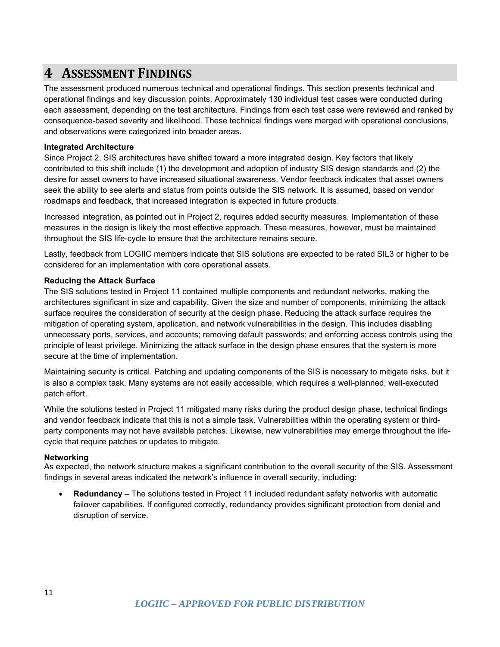### **4 ASSESSMENT FINDINGS**

The assessment produced numerous technical and operational findings. This section presents technical and operational findings and key discussion points. Approximately 130 individual test cases were conducted during each assessment, depending on the test architecture. Findings from each test case were reviewed and ranked by consequence-based severity and likelihood. These technical findings were merged with operational conclusions, and observations were categorized into broader areas.

#### **Integrated Architecture**

Since Project 2, SIS architectures have shifted toward a more integrated design. Key factors that likely contributed to this shift include (1) the development and adoption of industry SIS design standards and (2) the desire for asset owners to have increased situational awareness. Vendor feedback indicates that asset owners seek the ability to see alerts and status from points outside the SIS network. It is assumed, based on vendor roadmaps and feedback, that increased integration is expected in future products.

Increased integration, as pointed out in Project 2, requires added security measures. Implementation of these measures in the design is likely the most effective approach. These measures, however, must be maintained throughout the SIS life-cycle to ensure that the architecture remains secure.

Lastly, feedback from LOGIIC members indicate that SIS solutions are expected to be rated SIL3 or higher to be considered for an implementation with core operational assets.

#### **Reducing the Attack Surface**

The SIS solutions tested in Project 11 contained multiple components and redundant networks, making the architectures significant in size and capability. Given the size and number of components, minimizing the attack surface requires the consideration of security at the design phase. Reducing the attack surface requires the mitigation of operating system, application, and network vulnerabilities in the design. This includes disabling unnecessary ports, services, and accounts; removing default passwords; and enforcing access controls using the principle of least privilege. Minimizing the attack surface in the design phase ensures that the system is more secure at the time of implementation.

Maintaining security is critical. Patching and updating components of the SIS is necessary to mitigate risks, but it is also a complex task. Many systems are not easily accessible, which requires a well-planned, well-executed patch effort.

While the solutions tested in Project 11 mitigated many risks during the product design phase, technical findings and vendor feedback indicate that this is not a simple task. Vulnerabilities within the operating system or thirdparty components may not have available patches. Likewise, new vulnerabilities may emerge throughout the lifecycle that require patches or updates to mitigate.

#### **Networking**

As expected, the network structure makes a significant contribution to the overall security of the SIS. Assessment findings in several areas indicated the network's influence in overall security, including:

 **Redundancy** – The solutions tested in Project 11 included redundant safety networks with automatic failover capabilities. If configured correctly, redundancy provides significant protection from denial and disruption of service.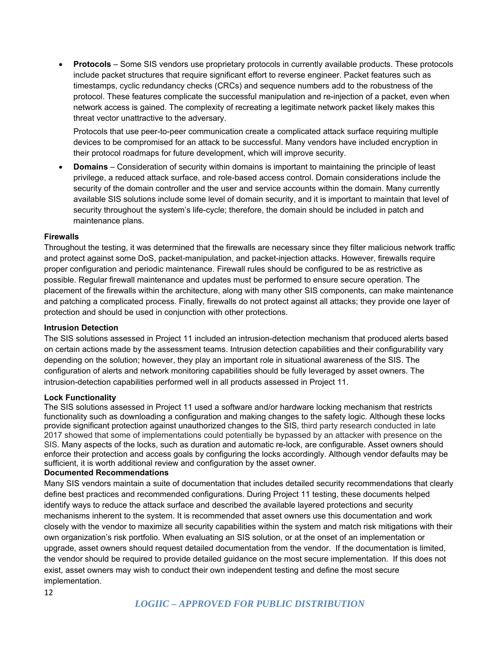**Protocols** – Some SIS vendors use proprietary protocols in currently available products. These protocols include packet structures that require significant effort to reverse engineer. Packet features such as timestamps, cyclic redundancy checks (CRCs) and sequence numbers add to the robustness of the protocol. These features complicate the successful manipulation and re-injection of a packet, even when network access is gained. The complexity of recreating a legitimate network packet likely makes this threat vector unattractive to the adversary.

Protocols that use peer-to-peer communication create a complicated attack surface requiring multiple devices to be compromised for an attack to be successful. Many vendors have included encryption in their protocol roadmaps for future development, which will improve security.

 **Domains** – Consideration of security within domains is important to maintaining the principle of least privilege, a reduced attack surface, and role-based access control. Domain considerations include the security of the domain controller and the user and service accounts within the domain. Many currently available SIS solutions include some level of domain security, and it is important to maintain that level of security throughout the system's life-cycle; therefore, the domain should be included in patch and maintenance plans.

#### **Firewalls**

Throughout the testing, it was determined that the firewalls are necessary since they filter malicious network traffic and protect against some DoS, packet-manipulation, and packet-injection attacks. However, firewalls require proper configuration and periodic maintenance. Firewall rules should be configured to be as restrictive as possible. Regular firewall maintenance and updates must be performed to ensure secure operation. The placement of the firewalls within the architecture, along with many other SIS components, can make maintenance and patching a complicated process. Finally, firewalls do not protect against all attacks; they provide one layer of protection and should be used in conjunction with other protections.

#### **Intrusion Detection**

The SIS solutions assessed in Project 11 included an intrusion-detection mechanism that produced alerts based on certain actions made by the assessment teams. Intrusion detection capabilities and their configurability vary depending on the solution; however, they play an important role in situational awareness of the SIS. The configuration of alerts and network monitoring capabilities should be fully leveraged by asset owners. The intrusion-detection capabilities performed well in all products assessed in Project 11.

#### **Lock Functionality**

The SIS solutions assessed in Project 11 used a software and/or hardware locking mechanism that restricts functionality such as downloading a configuration and making changes to the safety logic. Although these locks provide significant protection against unauthorized changes to the SIS, third party research conducted in late 2017 showed that some of implementations could potentially be bypassed by an attacker with presence on the SIS. Many aspects of the locks, such as duration and automatic re-lock, are configurable. Asset owners should enforce their protection and access goals by configuring the locks accordingly. Although vendor defaults may be sufficient, it is worth additional review and configuration by the asset owner.

#### **Documented Recommendations**

Many SIS vendors maintain a suite of documentation that includes detailed security recommendations that clearly define best practices and recommended configurations. During Project 11 testing, these documents helped identify ways to reduce the attack surface and described the available layered protections and security mechanisms inherent to the system. It is recommended that asset owners use this documentation and work closely with the vendor to maximize all security capabilities within the system and match risk mitigations with their own organization's risk portfolio. When evaluating an SIS solution, or at the onset of an implementation or upgrade, asset owners should request detailed documentation from the vendor. If the documentation is limited, the vendor should be required to provide detailed guidance on the most secure implementation. If this does not exist, asset owners may wish to conduct their own independent testing and define the most secure implementation.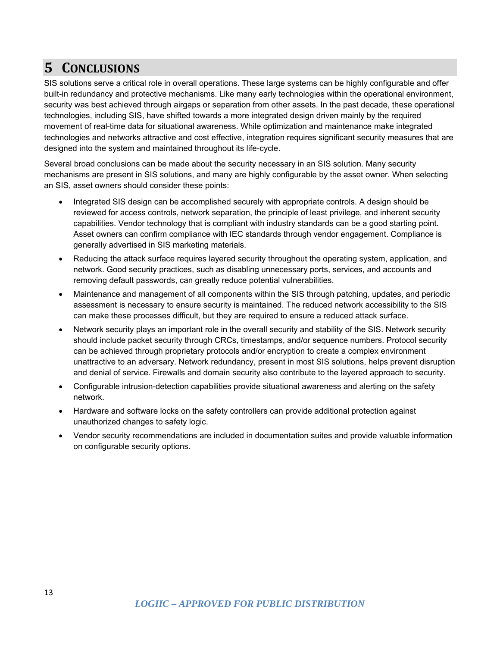## **5 CONCLUSIONS**

SIS solutions serve a critical role in overall operations. These large systems can be highly configurable and offer built-in redundancy and protective mechanisms. Like many early technologies within the operational environment, security was best achieved through airgaps or separation from other assets. In the past decade, these operational technologies, including SIS, have shifted towards a more integrated design driven mainly by the required movement of real-time data for situational awareness. While optimization and maintenance make integrated technologies and networks attractive and cost effective, integration requires significant security measures that are designed into the system and maintained throughout its life-cycle.

Several broad conclusions can be made about the security necessary in an SIS solution. Many security mechanisms are present in SIS solutions, and many are highly configurable by the asset owner. When selecting an SIS, asset owners should consider these points:

- Integrated SIS design can be accomplished securely with appropriate controls. A design should be reviewed for access controls, network separation, the principle of least privilege, and inherent security capabilities. Vendor technology that is compliant with industry standards can be a good starting point. Asset owners can confirm compliance with IEC standards through vendor engagement. Compliance is generally advertised in SIS marketing materials.
- Reducing the attack surface requires layered security throughout the operating system, application, and network. Good security practices, such as disabling unnecessary ports, services, and accounts and removing default passwords, can greatly reduce potential vulnerabilities.
- Maintenance and management of all components within the SIS through patching, updates, and periodic assessment is necessary to ensure security is maintained. The reduced network accessibility to the SIS can make these processes difficult, but they are required to ensure a reduced attack surface.
- Network security plays an important role in the overall security and stability of the SIS. Network security should include packet security through CRCs, timestamps, and/or sequence numbers. Protocol security can be achieved through proprietary protocols and/or encryption to create a complex environment unattractive to an adversary. Network redundancy, present in most SIS solutions, helps prevent disruption and denial of service. Firewalls and domain security also contribute to the layered approach to security.
- Configurable intrusion-detection capabilities provide situational awareness and alerting on the safety network.
- Hardware and software locks on the safety controllers can provide additional protection against unauthorized changes to safety logic.
- Vendor security recommendations are included in documentation suites and provide valuable information on configurable security options.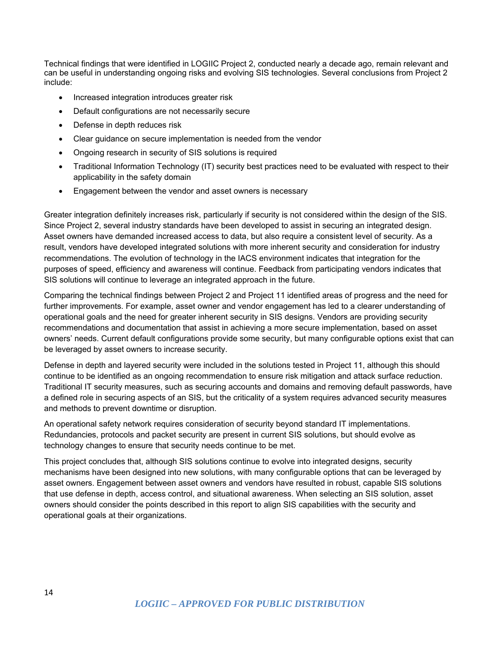Technical findings that were identified in LOGIIC Project 2, conducted nearly a decade ago, remain relevant and can be useful in understanding ongoing risks and evolving SIS technologies. Several conclusions from Project 2 include:

- Increased integration introduces greater risk
- Default configurations are not necessarily secure
- Defense in depth reduces risk
- Clear guidance on secure implementation is needed from the vendor
- Ongoing research in security of SIS solutions is required
- Traditional Information Technology (IT) security best practices need to be evaluated with respect to their applicability in the safety domain
- **Engagement between the vendor and asset owners is necessary**

Greater integration definitely increases risk, particularly if security is not considered within the design of the SIS. Since Project 2, several industry standards have been developed to assist in securing an integrated design. Asset owners have demanded increased access to data, but also require a consistent level of security. As a result, vendors have developed integrated solutions with more inherent security and consideration for industry recommendations. The evolution of technology in the IACS environment indicates that integration for the purposes of speed, efficiency and awareness will continue. Feedback from participating vendors indicates that SIS solutions will continue to leverage an integrated approach in the future.

Comparing the technical findings between Project 2 and Project 11 identified areas of progress and the need for further improvements. For example, asset owner and vendor engagement has led to a clearer understanding of operational goals and the need for greater inherent security in SIS designs. Vendors are providing security recommendations and documentation that assist in achieving a more secure implementation, based on asset owners' needs. Current default configurations provide some security, but many configurable options exist that can be leveraged by asset owners to increase security.

Defense in depth and layered security were included in the solutions tested in Project 11, although this should continue to be identified as an ongoing recommendation to ensure risk mitigation and attack surface reduction. Traditional IT security measures, such as securing accounts and domains and removing default passwords, have a defined role in securing aspects of an SIS, but the criticality of a system requires advanced security measures and methods to prevent downtime or disruption.

An operational safety network requires consideration of security beyond standard IT implementations. Redundancies, protocols and packet security are present in current SIS solutions, but should evolve as technology changes to ensure that security needs continue to be met.

This project concludes that, although SIS solutions continue to evolve into integrated designs, security mechanisms have been designed into new solutions, with many configurable options that can be leveraged by asset owners. Engagement between asset owners and vendors have resulted in robust, capable SIS solutions that use defense in depth, access control, and situational awareness. When selecting an SIS solution, asset owners should consider the points described in this report to align SIS capabilities with the security and operational goals at their organizations.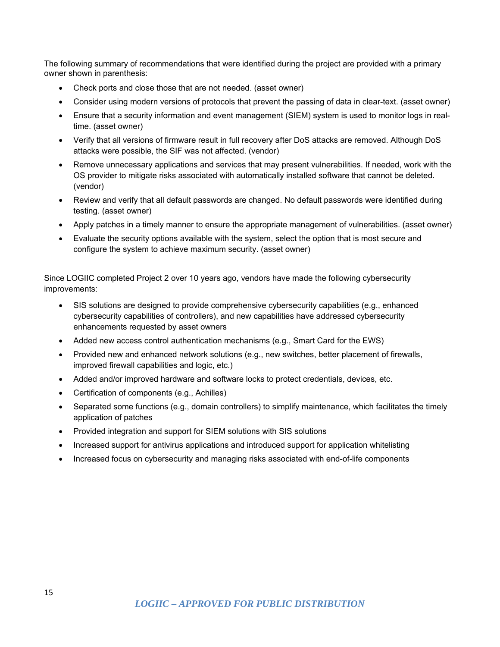The following summary of recommendations that were identified during the project are provided with a primary owner shown in parenthesis:

- Check ports and close those that are not needed. (asset owner)
- Consider using modern versions of protocols that prevent the passing of data in clear-text. (asset owner)
- Ensure that a security information and event management (SIEM) system is used to monitor logs in realtime. (asset owner)
- Verify that all versions of firmware result in full recovery after DoS attacks are removed. Although DoS attacks were possible, the SIF was not affected. (vendor)
- Remove unnecessary applications and services that may present vulnerabilities. If needed, work with the OS provider to mitigate risks associated with automatically installed software that cannot be deleted. (vendor)
- Review and verify that all default passwords are changed. No default passwords were identified during testing. (asset owner)
- Apply patches in a timely manner to ensure the appropriate management of vulnerabilities. (asset owner)
- Evaluate the security options available with the system, select the option that is most secure and configure the system to achieve maximum security. (asset owner)

Since LOGIIC completed Project 2 over 10 years ago, vendors have made the following cybersecurity improvements:

- SIS solutions are designed to provide comprehensive cybersecurity capabilities (e.g., enhanced cybersecurity capabilities of controllers), and new capabilities have addressed cybersecurity enhancements requested by asset owners
- Added new access control authentication mechanisms (e.g., Smart Card for the EWS)
- Provided new and enhanced network solutions (e.g., new switches, better placement of firewalls, improved firewall capabilities and logic, etc.)
- Added and/or improved hardware and software locks to protect credentials, devices, etc.
- Certification of components (e.g., Achilles)
- Separated some functions (e.g., domain controllers) to simplify maintenance, which facilitates the timely application of patches
- Provided integration and support for SIEM solutions with SIS solutions
- Increased support for antivirus applications and introduced support for application whitelisting
- Increased focus on cybersecurity and managing risks associated with end-of-life components